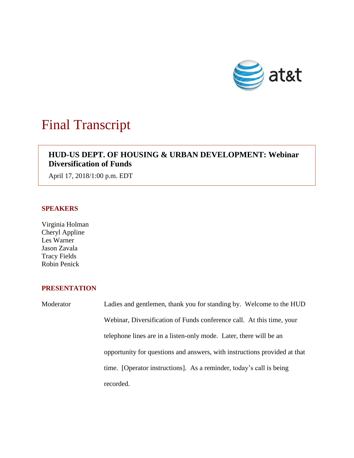

# Final Transcript

# **HUD-US DEPT. OF HOUSING & URBAN DEVELOPMENT: Webinar Diversification of Funds**

April 17, 2018/1:00 p.m. EDT

# **SPEAKERS**

Virginia Holman Cheryl Appline Les Warner Jason Zavala Tracy Fields Robin Penick

# **PRESENTATION**

Moderator Ladies and gentlemen, thank you for standing by. Welcome to the HUD Webinar, Diversification of Funds conference call. At this time, your telephone lines are in a listen-only mode. Later, there will be an opportunity for questions and answers, with instructions provided at that time. [Operator instructions]. As a reminder, today's call is being recorded.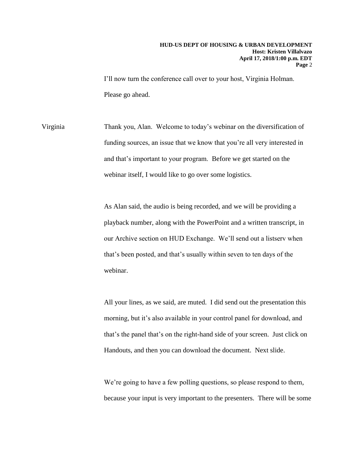I'll now turn the conference call over to your host, Virginia Holman. Please go ahead.

Virginia Thank you, Alan. Welcome to today's webinar on the diversification of funding sources, an issue that we know that you're all very interested in and that's important to your program. Before we get started on the webinar itself, I would like to go over some logistics.

> As Alan said, the audio is being recorded, and we will be providing a playback number, along with the PowerPoint and a written transcript, in our Archive section on HUD Exchange. We'll send out a listserv when that's been posted, and that's usually within seven to ten days of the webinar.

All your lines, as we said, are muted. I did send out the presentation this morning, but it's also available in your control panel for download, and that's the panel that's on the right-hand side of your screen. Just click on Handouts, and then you can download the document. Next slide.

We're going to have a few polling questions, so please respond to them, because your input is very important to the presenters. There will be some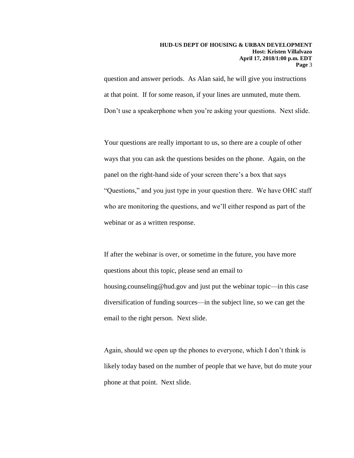question and answer periods. As Alan said, he will give you instructions at that point. If for some reason, if your lines are unmuted, mute them. Don't use a speakerphone when you're asking your questions. Next slide.

Your questions are really important to us, so there are a couple of other ways that you can ask the questions besides on the phone. Again, on the panel on the right-hand side of your screen there's a box that says "Questions," and you just type in your question there. We have OHC staff who are monitoring the questions, and we'll either respond as part of the webinar or as a written response.

If after the webinar is over, or sometime in the future, you have more questions about this topic, please send an email to housing.counseling@hud.gov and just put the webinar topic—in this case diversification of funding sources—in the subject line, so we can get the email to the right person. Next slide.

Again, should we open up the phones to everyone, which I don't think is likely today based on the number of people that we have, but do mute your phone at that point. Next slide.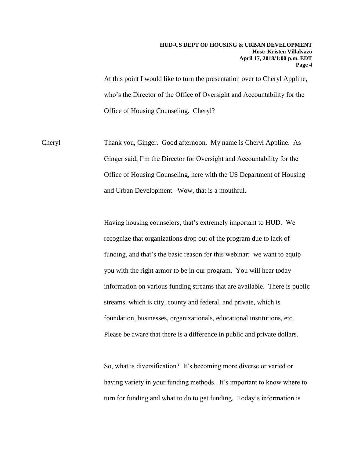At this point I would like to turn the presentation over to Cheryl Appline, who's the Director of the Office of Oversight and Accountability for the Office of Housing Counseling. Cheryl?

Cheryl Thank you, Ginger. Good afternoon. My name is Cheryl Appline. As Ginger said, I'm the Director for Oversight and Accountability for the Office of Housing Counseling, here with the US Department of Housing and Urban Development. Wow, that is a mouthful.

> Having housing counselors, that's extremely important to HUD. We recognize that organizations drop out of the program due to lack of funding, and that's the basic reason for this webinar: we want to equip you with the right armor to be in our program. You will hear today information on various funding streams that are available. There is public streams, which is city, county and federal, and private, which is foundation, businesses, organizationals, educational institutions, etc. Please be aware that there is a difference in public and private dollars.

So, what is diversification? It's becoming more diverse or varied or having variety in your funding methods. It's important to know where to turn for funding and what to do to get funding. Today's information is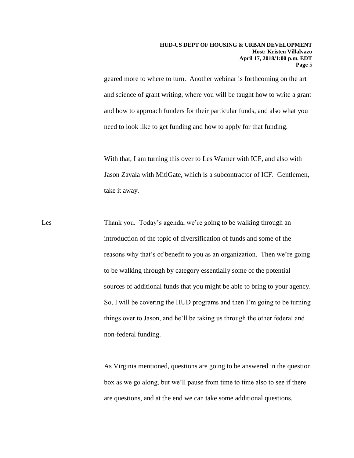geared more to where to turn. Another webinar is forthcoming on the art and science of grant writing, where you will be taught how to write a grant and how to approach funders for their particular funds, and also what you need to look like to get funding and how to apply for that funding.

With that, I am turning this over to Les Warner with ICF, and also with Jason Zavala with MitiGate, which is a subcontractor of ICF. Gentlemen, take it away.

Les Thank you. Today's agenda, we're going to be walking through an introduction of the topic of diversification of funds and some of the reasons why that's of benefit to you as an organization. Then we're going to be walking through by category essentially some of the potential sources of additional funds that you might be able to bring to your agency. So, I will be covering the HUD programs and then I'm going to be turning things over to Jason, and he'll be taking us through the other federal and non-federal funding.

> As Virginia mentioned, questions are going to be answered in the question box as we go along, but we'll pause from time to time also to see if there are questions, and at the end we can take some additional questions.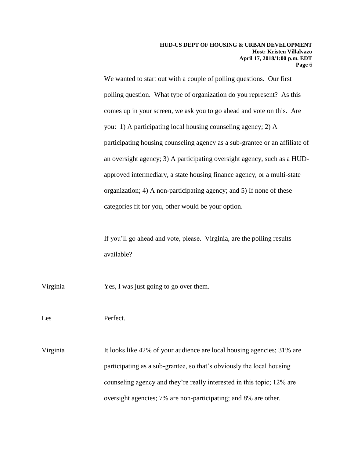We wanted to start out with a couple of polling questions. Our first polling question. What type of organization do you represent? As this comes up in your screen, we ask you to go ahead and vote on this. Are you: 1) A participating local housing counseling agency; 2) A participating housing counseling agency as a sub-grantee or an affiliate of an oversight agency; 3) A participating oversight agency, such as a HUDapproved intermediary, a state housing finance agency, or a multi-state organization; 4) A non-participating agency; and 5) If none of these categories fit for you, other would be your option.

If you'll go ahead and vote, please. Virginia, are the polling results available?

Virginia Yes, I was just going to go over them.

Les Perfect.

Virginia It looks like 42% of your audience are local housing agencies; 31% are participating as a sub-grantee, so that's obviously the local housing counseling agency and they're really interested in this topic; 12% are oversight agencies; 7% are non-participating; and 8% are other.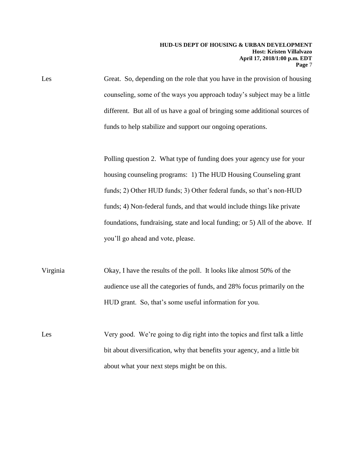Les Great. So, depending on the role that you have in the provision of housing counseling, some of the ways you approach today's subject may be a little different. But all of us have a goal of bringing some additional sources of funds to help stabilize and support our ongoing operations.

> Polling question 2. What type of funding does your agency use for your housing counseling programs: 1) The HUD Housing Counseling grant funds; 2) Other HUD funds; 3) Other federal funds, so that's non-HUD funds; 4) Non-federal funds, and that would include things like private foundations, fundraising, state and local funding; or 5) All of the above. If you'll go ahead and vote, please.

Virginia Okay, I have the results of the poll. It looks like almost 50% of the audience use all the categories of funds, and 28% focus primarily on the HUD grant. So, that's some useful information for you.

Les Very good. We're going to dig right into the topics and first talk a little bit about diversification, why that benefits your agency, and a little bit about what your next steps might be on this.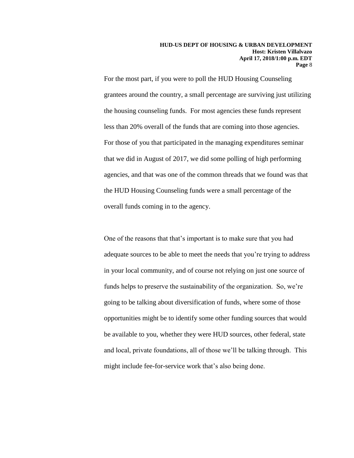For the most part, if you were to poll the HUD Housing Counseling grantees around the country, a small percentage are surviving just utilizing the housing counseling funds. For most agencies these funds represent less than 20% overall of the funds that are coming into those agencies. For those of you that participated in the managing expenditures seminar that we did in August of 2017, we did some polling of high performing agencies, and that was one of the common threads that we found was that the HUD Housing Counseling funds were a small percentage of the overall funds coming in to the agency.

One of the reasons that that's important is to make sure that you had adequate sources to be able to meet the needs that you're trying to address in your local community, and of course not relying on just one source of funds helps to preserve the sustainability of the organization. So, we're going to be talking about diversification of funds, where some of those opportunities might be to identify some other funding sources that would be available to you, whether they were HUD sources, other federal, state and local, private foundations, all of those we'll be talking through. This might include fee-for-service work that's also being done.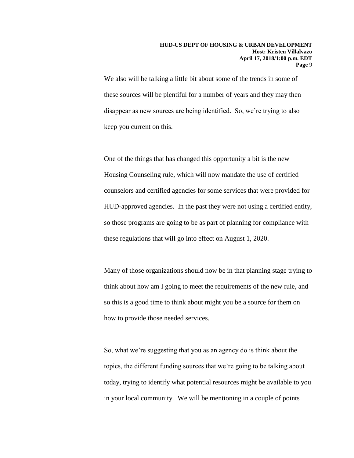We also will be talking a little bit about some of the trends in some of these sources will be plentiful for a number of years and they may then disappear as new sources are being identified. So, we're trying to also keep you current on this.

One of the things that has changed this opportunity a bit is the new Housing Counseling rule, which will now mandate the use of certified counselors and certified agencies for some services that were provided for HUD-approved agencies. In the past they were not using a certified entity, so those programs are going to be as part of planning for compliance with these regulations that will go into effect on August 1, 2020.

Many of those organizations should now be in that planning stage trying to think about how am I going to meet the requirements of the new rule, and so this is a good time to think about might you be a source for them on how to provide those needed services.

So, what we're suggesting that you as an agency do is think about the topics, the different funding sources that we're going to be talking about today, trying to identify what potential resources might be available to you in your local community. We will be mentioning in a couple of points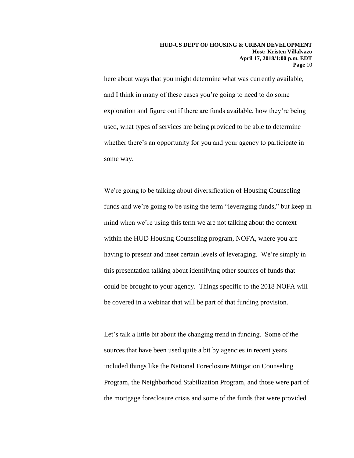here about ways that you might determine what was currently available, and I think in many of these cases you're going to need to do some exploration and figure out if there are funds available, how they're being used, what types of services are being provided to be able to determine whether there's an opportunity for you and your agency to participate in some way.

We're going to be talking about diversification of Housing Counseling funds and we're going to be using the term "leveraging funds," but keep in mind when we're using this term we are not talking about the context within the HUD Housing Counseling program, NOFA, where you are having to present and meet certain levels of leveraging. We're simply in this presentation talking about identifying other sources of funds that could be brought to your agency. Things specific to the 2018 NOFA will be covered in a webinar that will be part of that funding provision.

Let's talk a little bit about the changing trend in funding. Some of the sources that have been used quite a bit by agencies in recent years included things like the National Foreclosure Mitigation Counseling Program, the Neighborhood Stabilization Program, and those were part of the mortgage foreclosure crisis and some of the funds that were provided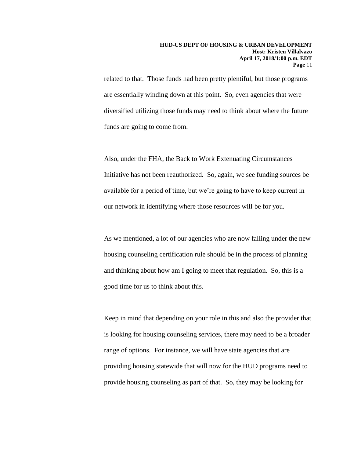related to that. Those funds had been pretty plentiful, but those programs are essentially winding down at this point. So, even agencies that were diversified utilizing those funds may need to think about where the future funds are going to come from.

Also, under the FHA, the Back to Work Extenuating Circumstances Initiative has not been reauthorized. So, again, we see funding sources be available for a period of time, but we're going to have to keep current in our network in identifying where those resources will be for you.

As we mentioned, a lot of our agencies who are now falling under the new housing counseling certification rule should be in the process of planning and thinking about how am I going to meet that regulation. So, this is a good time for us to think about this.

Keep in mind that depending on your role in this and also the provider that is looking for housing counseling services, there may need to be a broader range of options. For instance, we will have state agencies that are providing housing statewide that will now for the HUD programs need to provide housing counseling as part of that. So, they may be looking for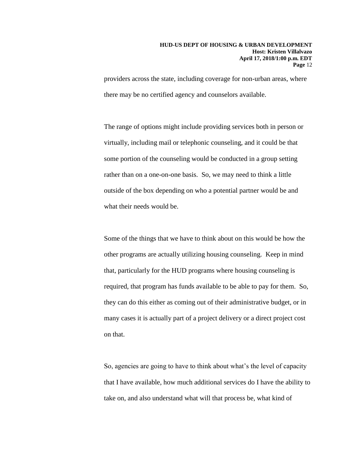providers across the state, including coverage for non-urban areas, where there may be no certified agency and counselors available.

The range of options might include providing services both in person or virtually, including mail or telephonic counseling, and it could be that some portion of the counseling would be conducted in a group setting rather than on a one-on-one basis. So, we may need to think a little outside of the box depending on who a potential partner would be and what their needs would be.

Some of the things that we have to think about on this would be how the other programs are actually utilizing housing counseling. Keep in mind that, particularly for the HUD programs where housing counseling is required, that program has funds available to be able to pay for them. So, they can do this either as coming out of their administrative budget, or in many cases it is actually part of a project delivery or a direct project cost on that.

So, agencies are going to have to think about what's the level of capacity that I have available, how much additional services do I have the ability to take on, and also understand what will that process be, what kind of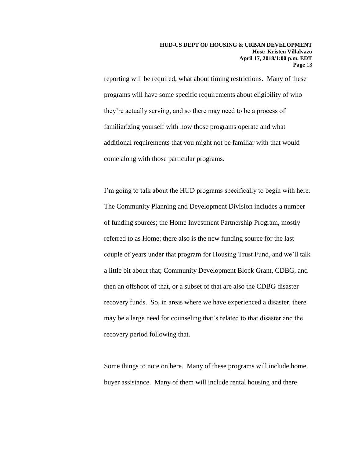reporting will be required, what about timing restrictions. Many of these programs will have some specific requirements about eligibility of who they're actually serving, and so there may need to be a process of familiarizing yourself with how those programs operate and what additional requirements that you might not be familiar with that would come along with those particular programs.

I'm going to talk about the HUD programs specifically to begin with here. The Community Planning and Development Division includes a number of funding sources; the Home Investment Partnership Program, mostly referred to as Home; there also is the new funding source for the last couple of years under that program for Housing Trust Fund, and we'll talk a little bit about that; Community Development Block Grant, CDBG, and then an offshoot of that, or a subset of that are also the CDBG disaster recovery funds. So, in areas where we have experienced a disaster, there may be a large need for counseling that's related to that disaster and the recovery period following that.

Some things to note on here. Many of these programs will include home buyer assistance. Many of them will include rental housing and there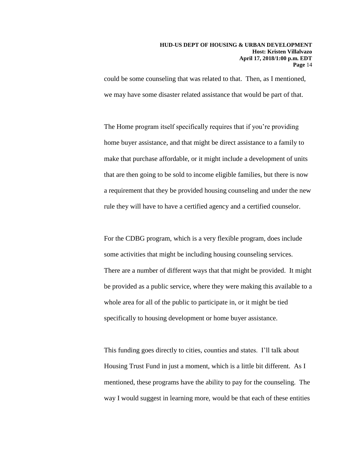could be some counseling that was related to that. Then, as I mentioned, we may have some disaster related assistance that would be part of that.

The Home program itself specifically requires that if you're providing home buyer assistance, and that might be direct assistance to a family to make that purchase affordable, or it might include a development of units that are then going to be sold to income eligible families, but there is now a requirement that they be provided housing counseling and under the new rule they will have to have a certified agency and a certified counselor.

For the CDBG program, which is a very flexible program, does include some activities that might be including housing counseling services. There are a number of different ways that that might be provided. It might be provided as a public service, where they were making this available to a whole area for all of the public to participate in, or it might be tied specifically to housing development or home buyer assistance.

This funding goes directly to cities, counties and states. I'll talk about Housing Trust Fund in just a moment, which is a little bit different. As I mentioned, these programs have the ability to pay for the counseling. The way I would suggest in learning more, would be that each of these entities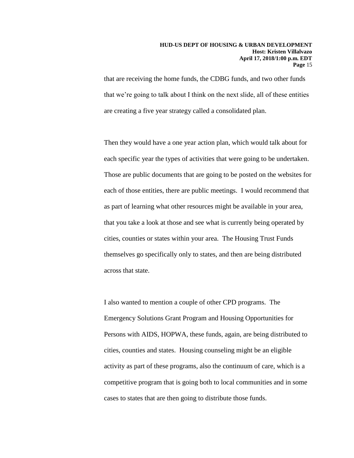that are receiving the home funds, the CDBG funds, and two other funds that we're going to talk about I think on the next slide, all of these entities are creating a five year strategy called a consolidated plan.

Then they would have a one year action plan, which would talk about for each specific year the types of activities that were going to be undertaken. Those are public documents that are going to be posted on the websites for each of those entities, there are public meetings. I would recommend that as part of learning what other resources might be available in your area, that you take a look at those and see what is currently being operated by cities, counties or states within your area. The Housing Trust Funds themselves go specifically only to states, and then are being distributed across that state.

I also wanted to mention a couple of other CPD programs. The Emergency Solutions Grant Program and Housing Opportunities for Persons with AIDS, HOPWA, these funds, again, are being distributed to cities, counties and states. Housing counseling might be an eligible activity as part of these programs, also the continuum of care, which is a competitive program that is going both to local communities and in some cases to states that are then going to distribute those funds.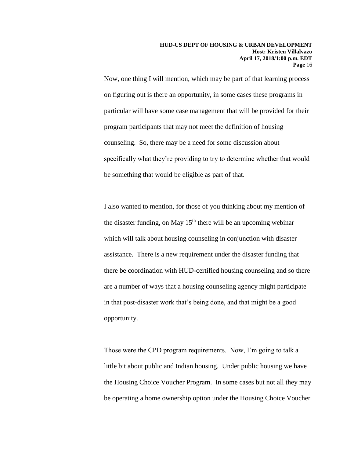Now, one thing I will mention, which may be part of that learning process on figuring out is there an opportunity, in some cases these programs in particular will have some case management that will be provided for their program participants that may not meet the definition of housing counseling. So, there may be a need for some discussion about specifically what they're providing to try to determine whether that would be something that would be eligible as part of that.

I also wanted to mention, for those of you thinking about my mention of the disaster funding, on May  $15<sup>th</sup>$  there will be an upcoming webinar which will talk about housing counseling in conjunction with disaster assistance. There is a new requirement under the disaster funding that there be coordination with HUD-certified housing counseling and so there are a number of ways that a housing counseling agency might participate in that post-disaster work that's being done, and that might be a good opportunity.

Those were the CPD program requirements. Now, I'm going to talk a little bit about public and Indian housing. Under public housing we have the Housing Choice Voucher Program. In some cases but not all they may be operating a home ownership option under the Housing Choice Voucher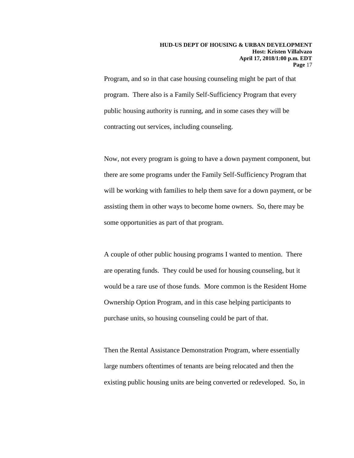Program, and so in that case housing counseling might be part of that program. There also is a Family Self-Sufficiency Program that every public housing authority is running, and in some cases they will be contracting out services, including counseling.

Now, not every program is going to have a down payment component, but there are some programs under the Family Self-Sufficiency Program that will be working with families to help them save for a down payment, or be assisting them in other ways to become home owners. So, there may be some opportunities as part of that program.

A couple of other public housing programs I wanted to mention. There are operating funds. They could be used for housing counseling, but it would be a rare use of those funds. More common is the Resident Home Ownership Option Program, and in this case helping participants to purchase units, so housing counseling could be part of that.

Then the Rental Assistance Demonstration Program, where essentially large numbers oftentimes of tenants are being relocated and then the existing public housing units are being converted or redeveloped. So, in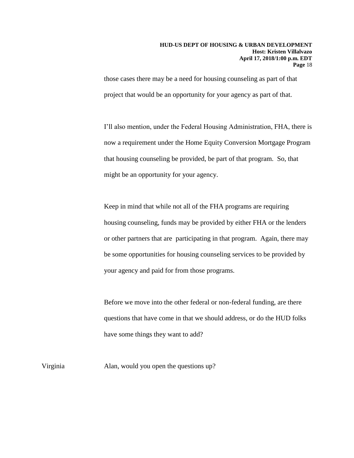those cases there may be a need for housing counseling as part of that project that would be an opportunity for your agency as part of that.

I'll also mention, under the Federal Housing Administration, FHA, there is now a requirement under the Home Equity Conversion Mortgage Program that housing counseling be provided, be part of that program. So, that might be an opportunity for your agency.

Keep in mind that while not all of the FHA programs are requiring housing counseling, funds may be provided by either FHA or the lenders or other partners that are participating in that program. Again, there may be some opportunities for housing counseling services to be provided by your agency and paid for from those programs.

Before we move into the other federal or non-federal funding, are there questions that have come in that we should address, or do the HUD folks have some things they want to add?

Virginia Alan, would you open the questions up?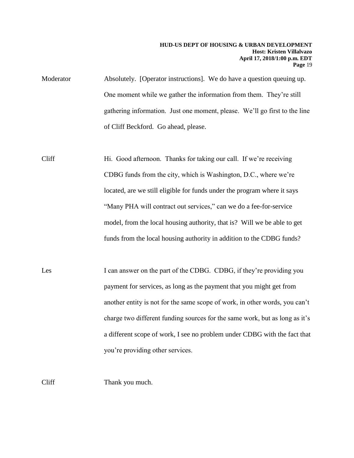Moderator Absolutely. [Operator instructions]. We do have a question queuing up. One moment while we gather the information from them. They're still gathering information. Just one moment, please. We'll go first to the line of Cliff Beckford. Go ahead, please.

- Cliff Hi. Good afternoon. Thanks for taking our call. If we're receiving CDBG funds from the city, which is Washington, D.C., where we're located, are we still eligible for funds under the program where it says "Many PHA will contract out services," can we do a fee-for-service model, from the local housing authority, that is? Will we be able to get funds from the local housing authority in addition to the CDBG funds?
- Les I can answer on the part of the CDBG. CDBG, if they're providing you payment for services, as long as the payment that you might get from another entity is not for the same scope of work, in other words, you can't charge two different funding sources for the same work, but as long as it's a different scope of work, I see no problem under CDBG with the fact that you're providing other services.

Cliff Thank you much.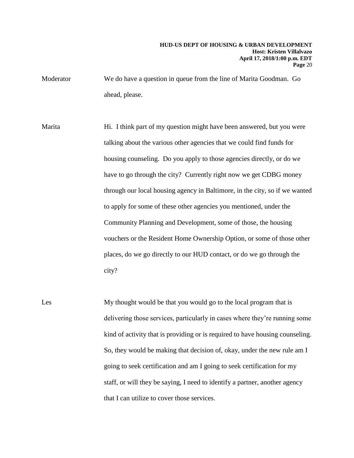Moderator We do have a question in queue from the line of Marita Goodman. Go ahead, please.

- Marita Hi. I think part of my question might have been answered, but you were talking about the various other agencies that we could find funds for housing counseling. Do you apply to those agencies directly, or do we have to go through the city? Currently right now we get CDBG money through our local housing agency in Baltimore, in the city, so if we wanted to apply for some of these other agencies you mentioned, under the Community Planning and Development, some of those, the housing vouchers or the Resident Home Ownership Option, or some of those other places, do we go directly to our HUD contact, or do we go through the city?
- Les My thought would be that you would go to the local program that is delivering those services, particularly in cases where they're running some kind of activity that is providing or is required to have housing counseling. So, they would be making that decision of, okay, under the new rule am I going to seek certification and am I going to seek certification for my staff, or will they be saying, I need to identify a partner, another agency that I can utilize to cover those services.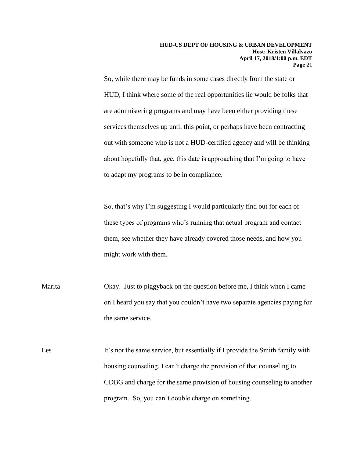So, while there may be funds in some cases directly from the state or HUD, I think where some of the real opportunities lie would be folks that are administering programs and may have been either providing these services themselves up until this point, or perhaps have been contracting out with someone who is not a HUD-certified agency and will be thinking about hopefully that, gee, this date is approaching that I'm going to have to adapt my programs to be in compliance.

So, that's why I'm suggesting I would particularly find out for each of these types of programs who's running that actual program and contact them, see whether they have already covered those needs, and how you might work with them.

Marita Okay. Just to piggyback on the question before me, I think when I came on I heard you say that you couldn't have two separate agencies paying for the same service.

Les It's not the same service, but essentially if I provide the Smith family with housing counseling, I can't charge the provision of that counseling to CDBG and charge for the same provision of housing counseling to another program. So, you can't double charge on something.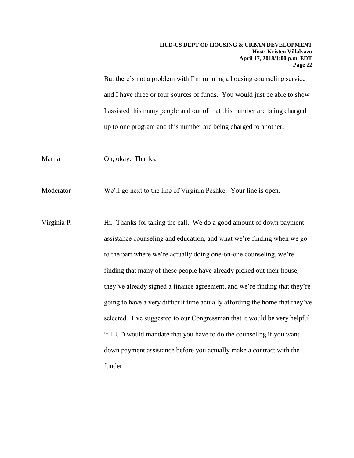But there's not a problem with I'm running a housing counseling service and I have three or four sources of funds. You would just be able to show I assisted this many people and out of that this number are being charged up to one program and this number are being charged to another.

Marita Oh, okay. Thanks.

Moderator We'll go next to the line of Virginia Peshke. Your line is open.

Virginia P. Hi. Thanks for taking the call. We do a good amount of down payment assistance counseling and education, and what we're finding when we go to the part where we're actually doing one-on-one counseling, we're finding that many of these people have already picked out their house, they've already signed a finance agreement, and we're finding that they're going to have a very difficult time actually affording the home that they've selected. I've suggested to our Congressman that it would be very helpful if HUD would mandate that you have to do the counseling if you want down payment assistance before you actually make a contract with the funder.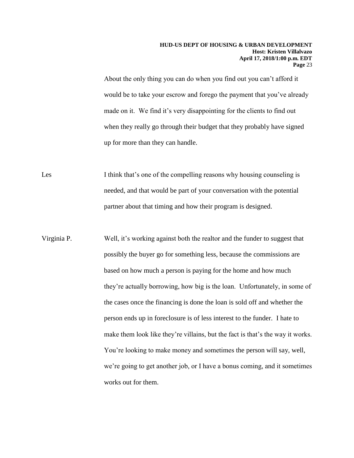About the only thing you can do when you find out you can't afford it would be to take your escrow and forego the payment that you've already made on it. We find it's very disappointing for the clients to find out when they really go through their budget that they probably have signed up for more than they can handle.

Les I think that's one of the compelling reasons why housing counseling is needed, and that would be part of your conversation with the potential partner about that timing and how their program is designed.

Virginia P. Well, it's working against both the realtor and the funder to suggest that possibly the buyer go for something less, because the commissions are based on how much a person is paying for the home and how much they're actually borrowing, how big is the loan. Unfortunately, in some of the cases once the financing is done the loan is sold off and whether the person ends up in foreclosure is of less interest to the funder. I hate to make them look like they're villains, but the fact is that's the way it works. You're looking to make money and sometimes the person will say, well, we're going to get another job, or I have a bonus coming, and it sometimes works out for them.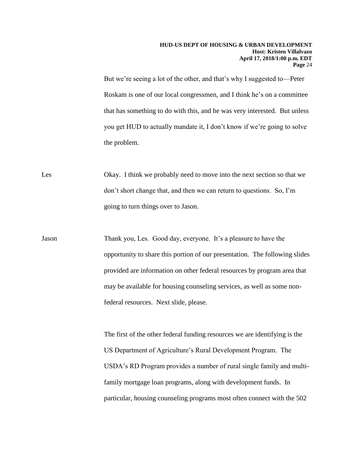But we're seeing a lot of the other, and that's why I suggested to—Peter Roskam is one of our local congressmen, and I think he's on a committee that has something to do with this, and he was very interested. But unless you get HUD to actually mandate it, I don't know if we're going to solve the problem.

Les Okay. I think we probably need to move into the next section so that we don't short change that, and then we can return to questions. So, I'm going to turn things over to Jason.

Jason Thank you, Les. Good day, everyone. It's a pleasure to have the opportunity to share this portion of our presentation. The following slides provided are information on other federal resources by program area that may be available for housing counseling services, as well as some nonfederal resources. Next slide, please.

> The first of the other federal funding resources we are identifying is the US Department of Agriculture's Rural Development Program. The USDA's RD Program provides a number of rural single family and multifamily mortgage loan programs, along with development funds. In particular, housing counseling programs most often connect with the 502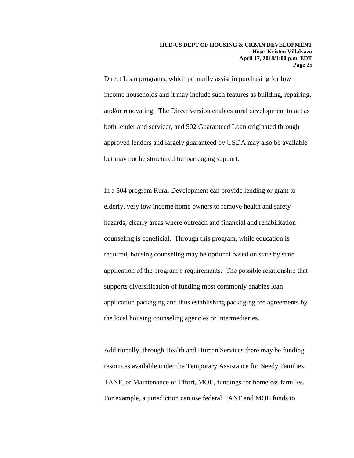Direct Loan programs, which primarily assist in purchasing for low income households and it may include such features as building, repairing, and/or renovating. The Direct version enables rural development to act as both lender and servicer, and 502 Guaranteed Loan originated through approved lenders and largely guaranteed by USDA may also be available but may not be structured for packaging support.

In a 504 program Rural Development can provide lending or grant to elderly, very low income home owners to remove health and safety hazards, clearly areas where outreach and financial and rehabilitation counseling is beneficial. Through this program, while education is required, housing counseling may be optional based on state by state application of the program's requirements. The possible relationship that supports diversification of funding most commonly enables loan application packaging and thus establishing packaging fee agreements by the local housing counseling agencies or intermediaries.

Additionally, through Health and Human Services there may be funding resources available under the Temporary Assistance for Needy Families, TANF, or Maintenance of Effort, MOE, fundings for homeless families. For example, a jurisdiction can use federal TANF and MOE funds to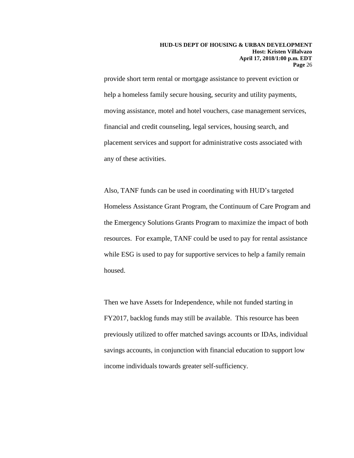provide short term rental or mortgage assistance to prevent eviction or help a homeless family secure housing, security and utility payments, moving assistance, motel and hotel vouchers, case management services, financial and credit counseling, legal services, housing search, and placement services and support for administrative costs associated with any of these activities.

Also, TANF funds can be used in coordinating with HUD's targeted Homeless Assistance Grant Program, the Continuum of Care Program and the Emergency Solutions Grants Program to maximize the impact of both resources. For example, TANF could be used to pay for rental assistance while ESG is used to pay for supportive services to help a family remain housed.

Then we have Assets for Independence, while not funded starting in FY2017, backlog funds may still be available. This resource has been previously utilized to offer matched savings accounts or IDAs, individual savings accounts, in conjunction with financial education to support low income individuals towards greater self-sufficiency.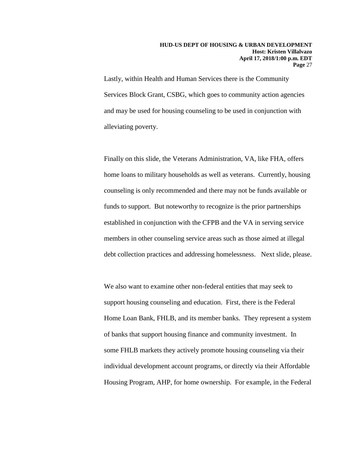Lastly, within Health and Human Services there is the Community Services Block Grant, CSBG, which goes to community action agencies and may be used for housing counseling to be used in conjunction with alleviating poverty.

Finally on this slide, the Veterans Administration, VA, like FHA, offers home loans to military households as well as veterans. Currently, housing counseling is only recommended and there may not be funds available or funds to support. But noteworthy to recognize is the prior partnerships established in conjunction with the CFPB and the VA in serving service members in other counseling service areas such as those aimed at illegal debt collection practices and addressing homelessness. Next slide, please.

We also want to examine other non-federal entities that may seek to support housing counseling and education. First, there is the Federal Home Loan Bank, FHLB, and its member banks. They represent a system of banks that support housing finance and community investment. In some FHLB markets they actively promote housing counseling via their individual development account programs, or directly via their Affordable Housing Program, AHP, for home ownership. For example, in the Federal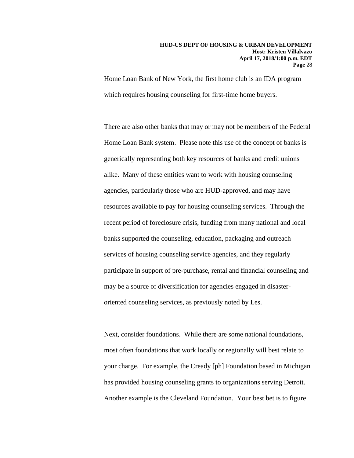Home Loan Bank of New York, the first home club is an IDA program which requires housing counseling for first-time home buyers.

There are also other banks that may or may not be members of the Federal Home Loan Bank system. Please note this use of the concept of banks is generically representing both key resources of banks and credit unions alike. Many of these entities want to work with housing counseling agencies, particularly those who are HUD-approved, and may have resources available to pay for housing counseling services. Through the recent period of foreclosure crisis, funding from many national and local banks supported the counseling, education, packaging and outreach services of housing counseling service agencies, and they regularly participate in support of pre-purchase, rental and financial counseling and may be a source of diversification for agencies engaged in disasteroriented counseling services, as previously noted by Les.

Next, consider foundations. While there are some national foundations, most often foundations that work locally or regionally will best relate to your charge. For example, the Cready [ph] Foundation based in Michigan has provided housing counseling grants to organizations serving Detroit. Another example is the Cleveland Foundation. Your best bet is to figure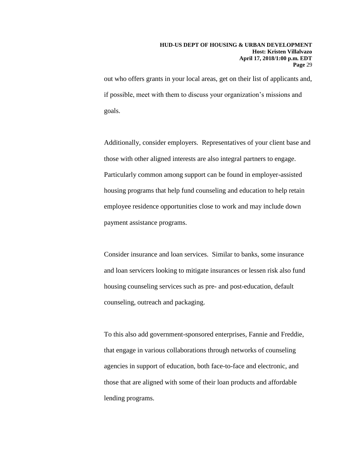out who offers grants in your local areas, get on their list of applicants and, if possible, meet with them to discuss your organization's missions and goals.

Additionally, consider employers. Representatives of your client base and those with other aligned interests are also integral partners to engage. Particularly common among support can be found in employer-assisted housing programs that help fund counseling and education to help retain employee residence opportunities close to work and may include down payment assistance programs.

Consider insurance and loan services. Similar to banks, some insurance and loan servicers looking to mitigate insurances or lessen risk also fund housing counseling services such as pre- and post-education, default counseling, outreach and packaging.

To this also add government-sponsored enterprises, Fannie and Freddie, that engage in various collaborations through networks of counseling agencies in support of education, both face-to-face and electronic, and those that are aligned with some of their loan products and affordable lending programs.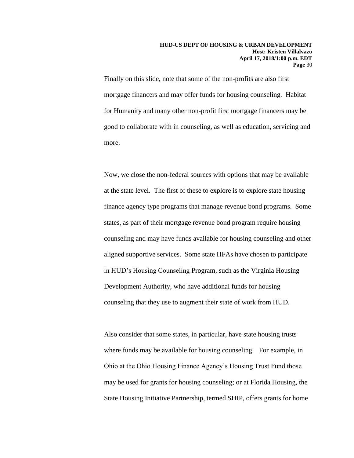Finally on this slide, note that some of the non-profits are also first mortgage financers and may offer funds for housing counseling. Habitat for Humanity and many other non-profit first mortgage financers may be good to collaborate with in counseling, as well as education, servicing and more.

Now, we close the non-federal sources with options that may be available at the state level. The first of these to explore is to explore state housing finance agency type programs that manage revenue bond programs. Some states, as part of their mortgage revenue bond program require housing counseling and may have funds available for housing counseling and other aligned supportive services. Some state HFAs have chosen to participate in HUD's Housing Counseling Program, such as the Virginia Housing Development Authority, who have additional funds for housing counseling that they use to augment their state of work from HUD.

Also consider that some states, in particular, have state housing trusts where funds may be available for housing counseling. For example, in Ohio at the Ohio Housing Finance Agency's Housing Trust Fund those may be used for grants for housing counseling; or at Florida Housing, the State Housing Initiative Partnership, termed SHIP, offers grants for home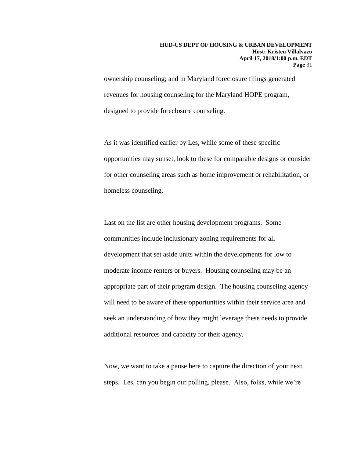ownership counseling; and in Maryland foreclosure filings generated revenues for housing counseling for the Maryland HOPE program, designed to provide foreclosure counseling.

As it was identified earlier by Les, while some of these specific opportunities may sunset, look to these for comparable designs or consider for other counseling areas such as home improvement or rehabilitation, or homeless counseling.

Last on the list are other housing development programs. Some communities include inclusionary zoning requirements for all development that set aside units within the developments for low to moderate income renters or buyers. Housing counseling may be an appropriate part of their program design. The housing counseling agency will need to be aware of these opportunities within their service area and seek an understanding of how they might leverage these needs to provide additional resources and capacity for their agency.

Now, we want to take a pause here to capture the direction of your next steps. Les, can you begin our polling, please. Also, folks, while we're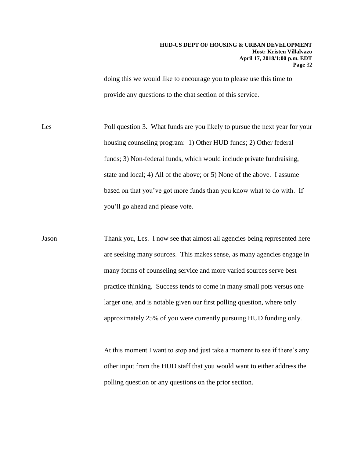doing this we would like to encourage you to please use this time to provide any questions to the chat section of this service.

Les Poll question 3. What funds are you likely to pursue the next year for your housing counseling program: 1) Other HUD funds; 2) Other federal funds; 3) Non-federal funds, which would include private fundraising, state and local; 4) All of the above; or 5) None of the above. I assume based on that you've got more funds than you know what to do with. If you'll go ahead and please vote.

Jason Thank you, Les. I now see that almost all agencies being represented here are seeking many sources. This makes sense, as many agencies engage in many forms of counseling service and more varied sources serve best practice thinking. Success tends to come in many small pots versus one larger one, and is notable given our first polling question, where only approximately 25% of you were currently pursuing HUD funding only.

> At this moment I want to stop and just take a moment to see if there's any other input from the HUD staff that you would want to either address the polling question or any questions on the prior section.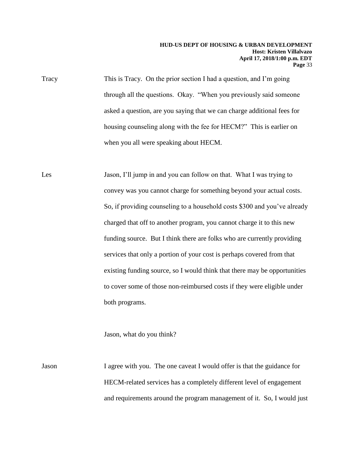Tracy This is Tracy. On the prior section I had a question, and I'm going through all the questions. Okay. "When you previously said someone asked a question, are you saying that we can charge additional fees for housing counseling along with the fee for HECM?" This is earlier on when you all were speaking about HECM.

Les Jason, I'll jump in and you can follow on that. What I was trying to convey was you cannot charge for something beyond your actual costs. So, if providing counseling to a household costs \$300 and you've already charged that off to another program, you cannot charge it to this new funding source. But I think there are folks who are currently providing services that only a portion of your cost is perhaps covered from that existing funding source, so I would think that there may be opportunities to cover some of those non-reimbursed costs if they were eligible under both programs.

Jason, what do you think?

Jason I agree with you. The one caveat I would offer is that the guidance for HECM-related services has a completely different level of engagement and requirements around the program management of it. So, I would just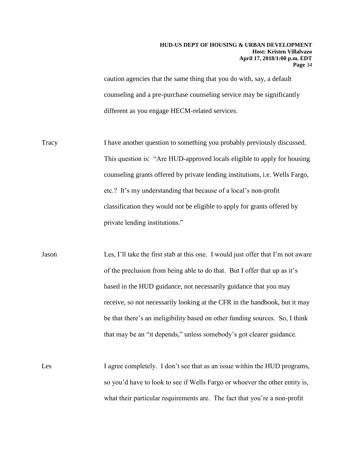caution agencies that the same thing that you do with, say, a default counseling and a pre-purchase counseling service may be significantly different as you engage HECM-related services.

- Tracy I have another question to something you probably previously discussed. This question is: "Are HUD-approved locals eligible to apply for housing counseling grants offered by private lending institutions, i.e. Wells Fargo, etc.? It's my understanding that because of a local's non-profit classification they would not be eligible to apply for grants offered by private lending institutions."
- Jason Les, I'll take the first stab at this one. I would just offer that I'm not aware of the preclusion from being able to do that. But I offer that up as it's based in the HUD guidance, not necessarily guidance that you may receive, so not necessarily looking at the CFR in the handbook, but it may be that there's an ineligibility based on other funding sources. So, I think that may be an "it depends," unless somebody's got clearer guidance.
- Les I agree completely. I don't see that as an issue within the HUD programs, so you'd have to look to see if Wells Fargo or whoever the other entity is, what their particular requirements are. The fact that you're a non-profit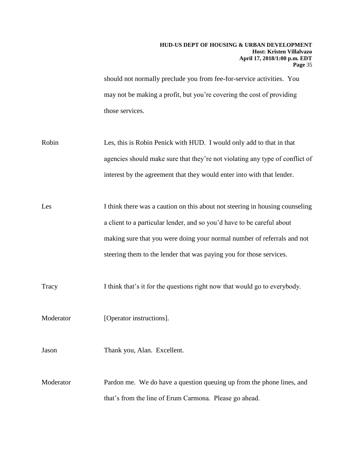should not normally preclude you from fee-for-service activities. You may not be making a profit, but you're covering the cost of providing those services.

- Robin Les, this is Robin Penick with HUD. I would only add to that in that agencies should make sure that they're not violating any type of conflict of interest by the agreement that they would enter into with that lender.
- Les I think there was a caution on this about not steering in housing counseling a client to a particular lender, and so you'd have to be careful about making sure that you were doing your normal number of referrals and not steering them to the lender that was paying you for those services.
- Tracy I think that's it for the questions right now that would go to everybody.
- Moderator [Operator instructions].
- Jason Thank you, Alan. Excellent.
- Moderator Pardon me. We do have a question queuing up from the phone lines, and that's from the line of Erum Carmona. Please go ahead.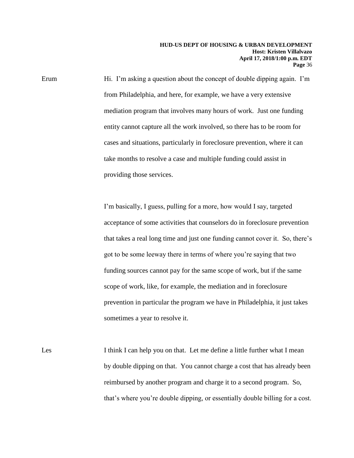Erum Hi. I'm asking a question about the concept of double dipping again. I'm from Philadelphia, and here, for example, we have a very extensive mediation program that involves many hours of work. Just one funding entity cannot capture all the work involved, so there has to be room for cases and situations, particularly in foreclosure prevention, where it can take months to resolve a case and multiple funding could assist in providing those services.

> I'm basically, I guess, pulling for a more, how would I say, targeted acceptance of some activities that counselors do in foreclosure prevention that takes a real long time and just one funding cannot cover it. So, there's got to be some leeway there in terms of where you're saying that two funding sources cannot pay for the same scope of work, but if the same scope of work, like, for example, the mediation and in foreclosure prevention in particular the program we have in Philadelphia, it just takes sometimes a year to resolve it.

Les I think I can help you on that. Let me define a little further what I mean by double dipping on that. You cannot charge a cost that has already been reimbursed by another program and charge it to a second program. So, that's where you're double dipping, or essentially double billing for a cost.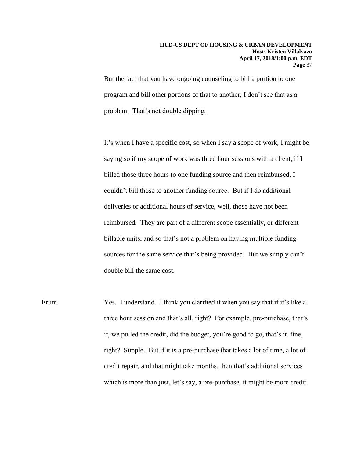But the fact that you have ongoing counseling to bill a portion to one program and bill other portions of that to another, I don't see that as a problem. That's not double dipping.

It's when I have a specific cost, so when I say a scope of work, I might be saying so if my scope of work was three hour sessions with a client, if I billed those three hours to one funding source and then reimbursed, I couldn't bill those to another funding source. But if I do additional deliveries or additional hours of service, well, those have not been reimbursed. They are part of a different scope essentially, or different billable units, and so that's not a problem on having multiple funding sources for the same service that's being provided. But we simply can't double bill the same cost.

Erum Yes. I understand. I think you clarified it when you say that if it's like a three hour session and that's all, right? For example, pre-purchase, that's it, we pulled the credit, did the budget, you're good to go, that's it, fine, right? Simple. But if it is a pre-purchase that takes a lot of time, a lot of credit repair, and that might take months, then that's additional services which is more than just, let's say, a pre-purchase, it might be more credit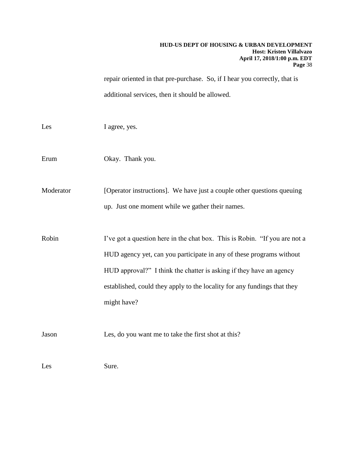repair oriented in that pre-purchase. So, if I hear you correctly, that is additional services, then it should be allowed.

| Les       | I agree, yes.                                                                                                                                                                                                                                                                                                        |
|-----------|----------------------------------------------------------------------------------------------------------------------------------------------------------------------------------------------------------------------------------------------------------------------------------------------------------------------|
| Erum      | Okay. Thank you.                                                                                                                                                                                                                                                                                                     |
| Moderator | [Operator instructions]. We have just a couple other questions queuing<br>up. Just one moment while we gather their names.                                                                                                                                                                                           |
| Robin     | I've got a question here in the chat box. This is Robin. "If you are not a<br>HUD agency yet, can you participate in any of these programs without<br>HUD approval?" I think the chatter is asking if they have an agency<br>established, could they apply to the locality for any fundings that they<br>might have? |
| Jason     | Les, do you want me to take the first shot at this?                                                                                                                                                                                                                                                                  |
| Les       | Sure.                                                                                                                                                                                                                                                                                                                |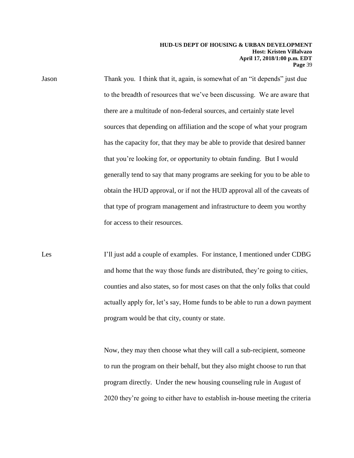Jason Thank you. I think that it, again, is somewhat of an "it depends" just due to the breadth of resources that we've been discussing. We are aware that there are a multitude of non-federal sources, and certainly state level sources that depending on affiliation and the scope of what your program has the capacity for, that they may be able to provide that desired banner that you're looking for, or opportunity to obtain funding. But I would generally tend to say that many programs are seeking for you to be able to obtain the HUD approval, or if not the HUD approval all of the caveats of that type of program management and infrastructure to deem you worthy for access to their resources.

Les I'll just add a couple of examples. For instance, I mentioned under CDBG and home that the way those funds are distributed, they're going to cities, counties and also states, so for most cases on that the only folks that could actually apply for, let's say, Home funds to be able to run a down payment program would be that city, county or state.

> Now, they may then choose what they will call a sub-recipient, someone to run the program on their behalf, but they also might choose to run that program directly. Under the new housing counseling rule in August of 2020 they're going to either have to establish in-house meeting the criteria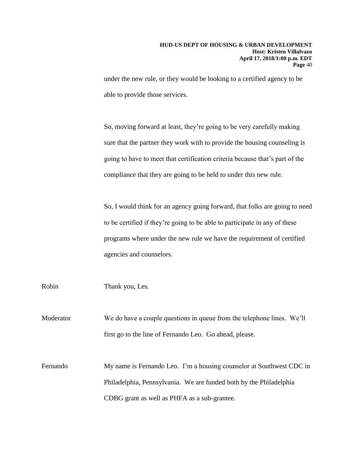under the new rule, or they would be looking to a certified agency to be able to provide those services.

So, moving forward at least, they're going to be very carefully making sure that the partner they work with to provide the housing counseling is going to have to meet that certification criteria because that's part of the compliance that they are going to be held to under this new rule.

So, I would think for an agency going forward, that folks are going to need to be certified if they're going to be able to participate in any of these programs where under the new rule we have the requirement of certified agencies and counselors.

Robin Thank you, Les.

Moderator We do have a couple questions in queue from the telephone lines. We'll first go to the line of Fernando Leo. Go ahead, please.

Fernando My name is Fernando Leo. I'm a housing counselor at Southwest CDC in Philadelphia, Pennsylvania. We are funded both by the Philadelphia CDBG grant as well as PHFA as a sub-grantee.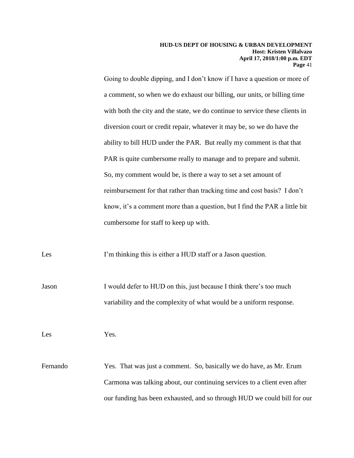Going to double dipping, and I don't know if I have a question or more of a comment, so when we do exhaust our billing, our units, or billing time with both the city and the state, we do continue to service these clients in diversion court or credit repair, whatever it may be, so we do have the ability to bill HUD under the PAR. But really my comment is that that PAR is quite cumbersome really to manage and to prepare and submit. So, my comment would be, is there a way to set a set amount of reimbursement for that rather than tracking time and cost basis? I don't know, it's a comment more than a question, but I find the PAR a little bit cumbersome for staff to keep up with.

Les I'm thinking this is either a HUD staff or a Jason question.

Jason I would defer to HUD on this, just because I think there's too much variability and the complexity of what would be a uniform response.

Les Yes.

Fernando Yes. That was just a comment. So, basically we do have, as Mr. Erum Carmona was talking about, our continuing services to a client even after our funding has been exhausted, and so through HUD we could bill for our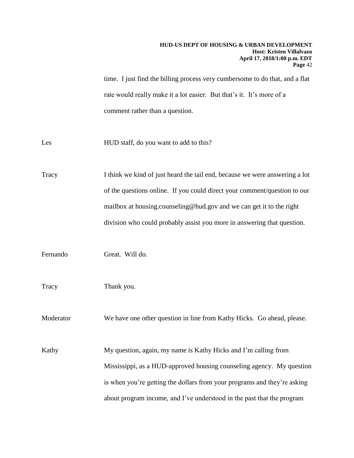time. I just find the billing process very cumbersome to do that, and a flat rate would really make it a lot easier. But that's it. It's more of a comment rather than a question.

Les HUD staff, do you want to add to this?

Tracy I think we kind of just heard the tail end, because we were answering a lot of the questions online. If you could direct your comment/question to our mailbox at housing.counseling@hud.gov and we can get it to the right division who could probably assist you more in answering that question.

Fernando Great. Will do.

Tracy Thank you.

Moderator We have one other question in line from Kathy Hicks. Go ahead, please.

Kathy My question, again, my name is Kathy Hicks and I'm calling from Mississippi, as a HUD-approved housing counseling agency. My question is when you're getting the dollars from your programs and they're asking about program income, and I've understood in the past that the program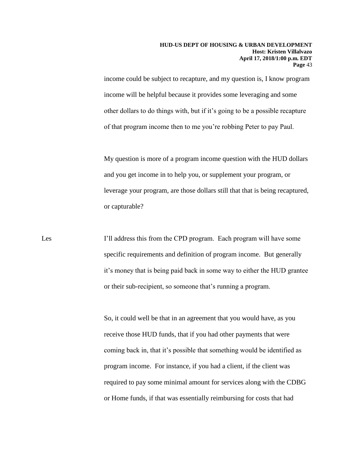income could be subject to recapture, and my question is, I know program income will be helpful because it provides some leveraging and some other dollars to do things with, but if it's going to be a possible recapture of that program income then to me you're robbing Peter to pay Paul.

My question is more of a program income question with the HUD dollars and you get income in to help you, or supplement your program, or leverage your program, are those dollars still that that is being recaptured, or capturable?

Les I'll address this from the CPD program. Each program will have some specific requirements and definition of program income. But generally it's money that is being paid back in some way to either the HUD grantee or their sub-recipient, so someone that's running a program.

> So, it could well be that in an agreement that you would have, as you receive those HUD funds, that if you had other payments that were coming back in, that it's possible that something would be identified as program income. For instance, if you had a client, if the client was required to pay some minimal amount for services along with the CDBG or Home funds, if that was essentially reimbursing for costs that had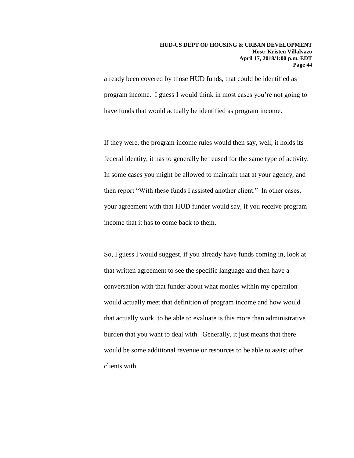already been covered by those HUD funds, that could be identified as program income. I guess I would think in most cases you're not going to have funds that would actually be identified as program income.

If they were, the program income rules would then say, well, it holds its federal identity, it has to generally be reused for the same type of activity. In some cases you might be allowed to maintain that at your agency, and then report "With these funds I assisted another client." In other cases, your agreement with that HUD funder would say, if you receive program income that it has to come back to them.

So, I guess I would suggest, if you already have funds coming in, look at that written agreement to see the specific language and then have a conversation with that funder about what monies within my operation would actually meet that definition of program income and how would that actually work, to be able to evaluate is this more than administrative burden that you want to deal with. Generally, it just means that there would be some additional revenue or resources to be able to assist other clients with.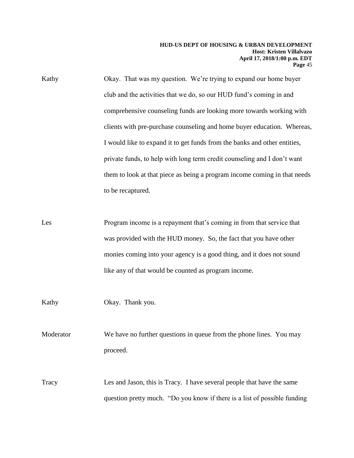Kathy Okay. That was my question. We're trying to expand our home buyer club and the activities that we do, so our HUD fund's coming in and comprehensive counseling funds are looking more towards working with clients with pre-purchase counseling and home buyer education. Whereas, I would like to expand it to get funds from the banks and other entities, private funds, to help with long term credit counseling and I don't want them to look at that piece as being a program income coming in that needs to be recaptured.

Les Program income is a repayment that's coming in from that service that was provided with the HUD money. So, the fact that you have other monies coming into your agency is a good thing, and it does not sound like any of that would be counted as program income.

Kathy Okay. Thank you.

Moderator We have no further questions in queue from the phone lines. You may proceed.

Tracy Les and Jason, this is Tracy. I have several people that have the same question pretty much. "Do you know if there is a list of possible funding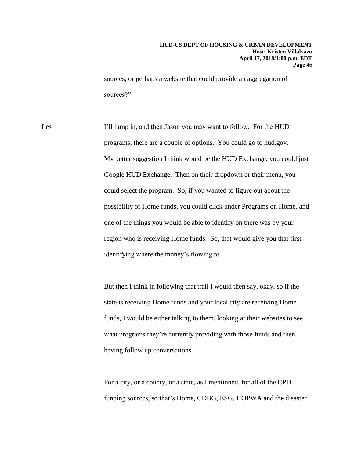sources, or perhaps a website that could provide an aggregation of sources?"

Les I'll jump in, and then Jason you may want to follow. For the HUD programs, there are a couple of options. You could go to hud.gov. My better suggestion I think would be the HUD Exchange, you could just Google HUD Exchange. Then on their dropdown or their menu, you could select the program. So, if you wanted to figure out about the possibility of Home funds, you could click under Programs on Home, and one of the things you would be able to identify on there was by your region who is receiving Home funds. So, that would give you that first identifying where the money's flowing to.

> But then I think in following that trail I would then say, okay, so if the state is receiving Home funds and your local city are receiving Home funds, I would be either talking to them, looking at their websites to see what programs they're currently providing with those funds and then having follow up conversations.

For a city, or a county, or a state, as I mentioned, for all of the CPD funding sources, so that's Home, CDBG, ESG, HOPWA and the disaster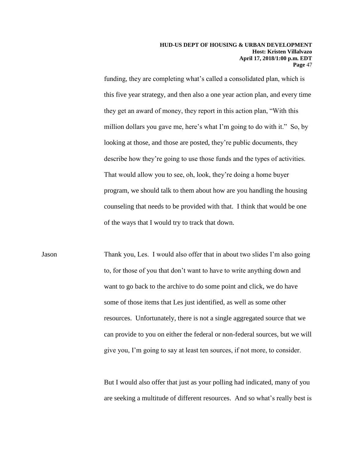funding, they are completing what's called a consolidated plan, which is this five year strategy, and then also a one year action plan, and every time they get an award of money, they report in this action plan, "With this million dollars you gave me, here's what I'm going to do with it." So, by looking at those, and those are posted, they're public documents, they describe how they're going to use those funds and the types of activities. That would allow you to see, oh, look, they're doing a home buyer program, we should talk to them about how are you handling the housing counseling that needs to be provided with that. I think that would be one of the ways that I would try to track that down.

Jason Thank you, Les. I would also offer that in about two slides I'm also going to, for those of you that don't want to have to write anything down and want to go back to the archive to do some point and click, we do have some of those items that Les just identified, as well as some other resources. Unfortunately, there is not a single aggregated source that we can provide to you on either the federal or non-federal sources, but we will give you, I'm going to say at least ten sources, if not more, to consider.

> But I would also offer that just as your polling had indicated, many of you are seeking a multitude of different resources. And so what's really best is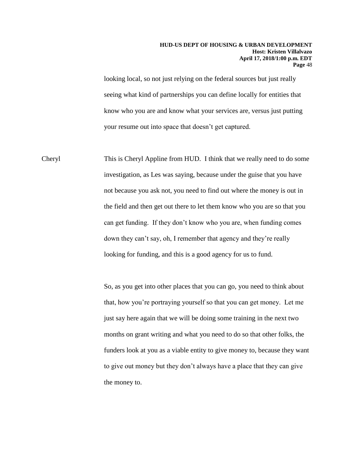looking local, so not just relying on the federal sources but just really seeing what kind of partnerships you can define locally for entities that know who you are and know what your services are, versus just putting your resume out into space that doesn't get captured.

Cheryl This is Cheryl Appline from HUD. I think that we really need to do some investigation, as Les was saying, because under the guise that you have not because you ask not, you need to find out where the money is out in the field and then get out there to let them know who you are so that you can get funding. If they don't know who you are, when funding comes down they can't say, oh, I remember that agency and they're really looking for funding, and this is a good agency for us to fund.

> So, as you get into other places that you can go, you need to think about that, how you're portraying yourself so that you can get money. Let me just say here again that we will be doing some training in the next two months on grant writing and what you need to do so that other folks, the funders look at you as a viable entity to give money to, because they want to give out money but they don't always have a place that they can give the money to.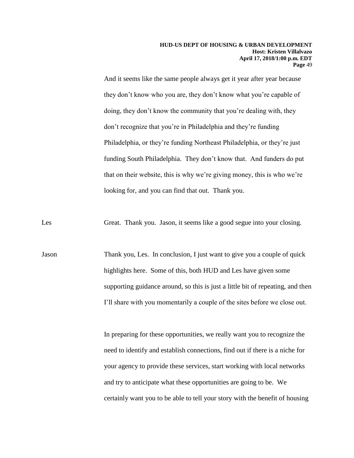And it seems like the same people always get it year after year because they don't know who you are, they don't know what you're capable of doing, they don't know the community that you're dealing with, they don't recognize that you're in Philadelphia and they're funding Philadelphia, or they're funding Northeast Philadelphia, or they're just funding South Philadelphia. They don't know that. And funders do put that on their website, this is why we're giving money, this is who we're looking for, and you can find that out. Thank you.

Les Great. Thank you. Jason, it seems like a good segue into your closing.

Jason Thank you, Les. In conclusion, I just want to give you a couple of quick highlights here. Some of this, both HUD and Les have given some supporting guidance around, so this is just a little bit of repeating, and then I'll share with you momentarily a couple of the sites before we close out.

> In preparing for these opportunities, we really want you to recognize the need to identify and establish connections, find out if there is a niche for your agency to provide these services, start working with local networks and try to anticipate what these opportunities are going to be. We certainly want you to be able to tell your story with the benefit of housing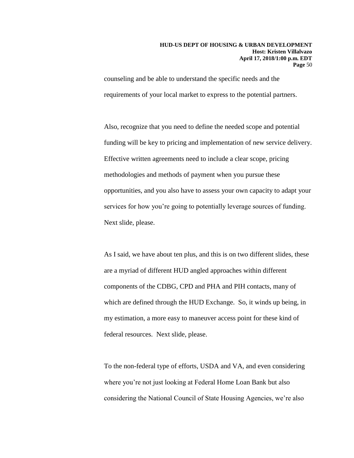counseling and be able to understand the specific needs and the requirements of your local market to express to the potential partners.

Also, recognize that you need to define the needed scope and potential funding will be key to pricing and implementation of new service delivery. Effective written agreements need to include a clear scope, pricing methodologies and methods of payment when you pursue these opportunities, and you also have to assess your own capacity to adapt your services for how you're going to potentially leverage sources of funding. Next slide, please.

As I said, we have about ten plus, and this is on two different slides, these are a myriad of different HUD angled approaches within different components of the CDBG, CPD and PHA and PIH contacts, many of which are defined through the HUD Exchange. So, it winds up being, in my estimation, a more easy to maneuver access point for these kind of federal resources. Next slide, please.

To the non-federal type of efforts, USDA and VA, and even considering where you're not just looking at Federal Home Loan Bank but also considering the National Council of State Housing Agencies, we're also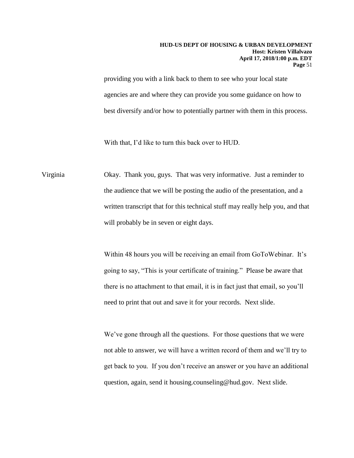providing you with a link back to them to see who your local state agencies are and where they can provide you some guidance on how to best diversify and/or how to potentially partner with them in this process.

With that, I'd like to turn this back over to HUD.

Virginia Okay. Thank you, guys. That was very informative. Just a reminder to the audience that we will be posting the audio of the presentation, and a written transcript that for this technical stuff may really help you, and that will probably be in seven or eight days.

> Within 48 hours you will be receiving an email from GoToWebinar. It's going to say, "This is your certificate of training." Please be aware that there is no attachment to that email, it is in fact just that email, so you'll need to print that out and save it for your records. Next slide.

We've gone through all the questions. For those questions that we were not able to answer, we will have a written record of them and we'll try to get back to you. If you don't receive an answer or you have an additional question, again, send it housing.counseling@hud.gov. Next slide.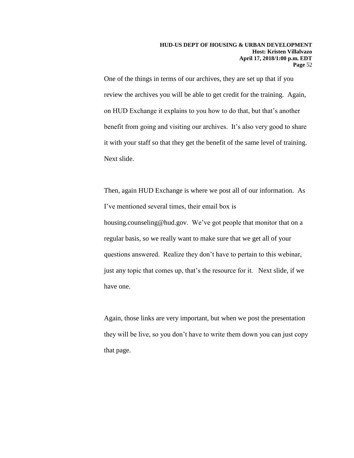One of the things in terms of our archives, they are set up that if you review the archives you will be able to get credit for the training. Again, on HUD Exchange it explains to you how to do that, but that's another benefit from going and visiting our archives. It's also very good to share it with your staff so that they get the benefit of the same level of training. Next slide.

Then, again HUD Exchange is where we post all of our information. As I've mentioned several times, their email box is housing.counseling@hud.gov. We've got people that monitor that on a regular basis, so we really want to make sure that we get all of your questions answered. Realize they don't have to pertain to this webinar, just any topic that comes up, that's the resource for it. Next slide, if we have one.

Again, those links are very important, but when we post the presentation they will be live, so you don't have to write them down you can just copy that page.